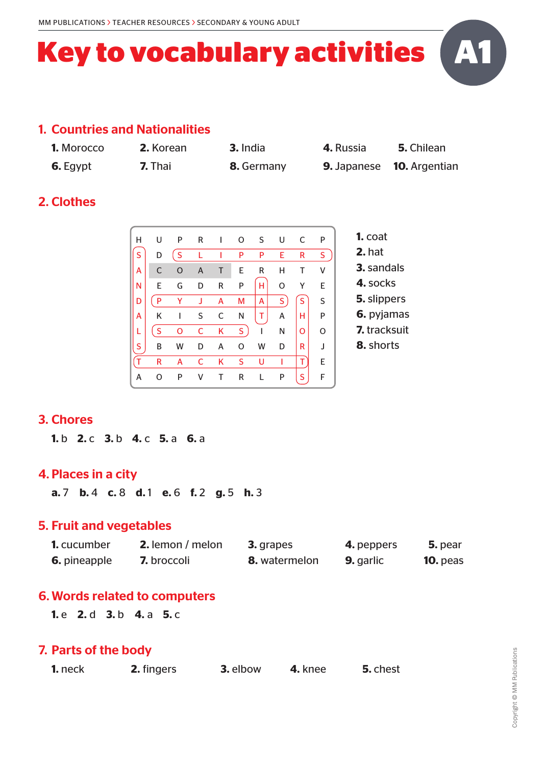# **Key to vocabulary activities**

#### 1. Countries and Nationalities

| <b>1.</b> Morocco |  |
|-------------------|--|
|                   |  |

- 
- **1.** Morocco **2.** Korean **3.** India **4.** Russia **5.** Chilean
- **6.** Egypt **7.** Thai **8.** Germany **9.** Japanese **10.** Argentian

**A1**

# 2. Clothes

| н | U            | P | R | ı | 0            | S. | U  | C | P         |
|---|--------------|---|---|---|--------------|----|----|---|-----------|
| S | D            | S |   |   | P            | P  | E. | R | S.        |
| А | $\mathsf{C}$ | O | Α | Τ | E            | R  | н  | Т | ٧         |
| N | Ε            | G | D | R | P            | н  | O  | Y | E         |
| D | P            | Y | J | A | M            | A  | S  | S | S         |
| А | Κ            | ı | S | C | N            | т  | А  | н | ${\sf P}$ |
|   | S            | o | C | Κ | $S_{\alpha}$ | I  | N  | o | $\Omega$  |
| S | B            | W | D | А | O            | W  | D  | R | J         |
| Ť | R            | A | C | Κ | S            | U  |    | т | E.        |
| Α | O            | P | v | Т | R            |    | Ρ  | S | F         |

- **1.** coat **2.** hat **3.** sandals **4.** socks **5.** slippers **6.** pyjamas
- **7.** tracksuit
- **8.** shorts

## 3. Chores

**1.** b **2.** c **3.** b **4.** c **5.** a **6.** a

#### 4. Places in a city

**a.** 7 **b.** 4 **c.** 8 **d.** 1 **e.** 6 **f.** 2 **g.** 5 **h.** 3

#### 5. Fruit and vegetables

| <b>1.</b> cucumber  | <b>2.</b> lemon / melon | <b>3.</b> grapes     | 4. peppers       | 5. pear         |
|---------------------|-------------------------|----------------------|------------------|-----------------|
| <b>6.</b> pineapple | <b>7.</b> broccoli      | <b>8.</b> watermelon | <b>9.</b> garlic | <b>10.</b> peas |

## 6. Words related to computers

**1.** e **2.** d **3.** b **4.** a **5.** c

#### 7. Parts of the body

| <b>1.</b> neck | 2. fingers | 3. elbow | 4. knee | 5. chest |
|----------------|------------|----------|---------|----------|
|----------------|------------|----------|---------|----------|